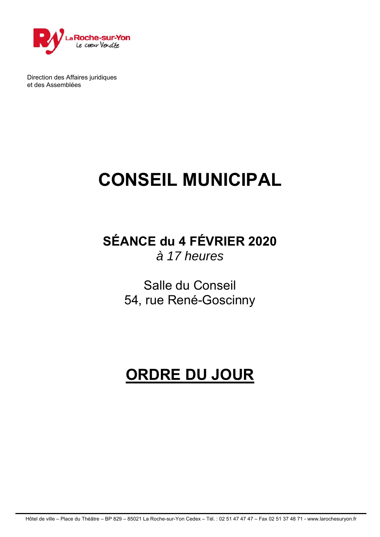

Direction des Affaires juridiques et des Assemblées

# **CONSEIL MUNICIPAL**

**SÉANCE du 4 FÉVRIER 2020**  *à 17 heures* 

> Salle du Conseil 54, rue René-Goscinny

# **ORDRE DU JOUR**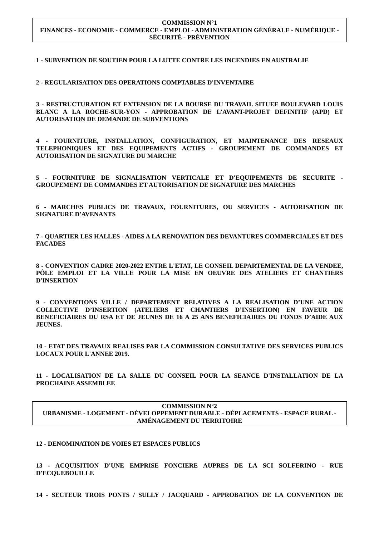#### **COMMISSION N°1 FINANCES - ECONOMIE - COMMERCE - EMPLOI - ADMINISTRATION GÉNÉRALE - NUMÉRIQUE - SÉCURITÉ - PRÉVENTION**

#### **1 - SUBVENTION DE SOUTIEN POUR LA LUTTE CONTRE LES INCENDIES EN AUSTRALIE**

**2 - REGULARISATION DES OPERATIONS COMPTABLES D'INVENTAIRE**

**3 - RESTRUCTURATION ET EXTENSION DE LA BOURSE DU TRAVAIL SITUEE BOULEVARD LOUIS BLANC A LA ROCHE-SUR-YON - APPROBATION DE L'AVANT-PROJET DEFINITIF (APD) ET AUTORISATION DE DEMANDE DE SUBVENTIONS**

**4 - FOURNITURE, INSTALLATION, CONFIGURATION, ET MAINTENANCE DES RESEAUX TELEPHONIQUES ET DES EQUIPEMENTS ACTIFS - GROUPEMENT DE COMMANDES ET AUTORISATION DE SIGNATURE DU MARCHE**

**5 - FOURNITURE DE SIGNALISATION VERTICALE ET D'EQUIPEMENTS DE SECURITE - GROUPEMENT DE COMMANDES ET AUTORISATION DE SIGNATURE DES MARCHES**

**6 - MARCHES PUBLICS DE TRAVAUX, FOURNITURES, OU SERVICES - AUTORISATION DE SIGNATURE D'AVENANTS**

**7 - QUARTIER LES HALLES - AIDES A LA RENOVATION DES DEVANTURES COMMERCIALES ET DES FACADES** 

**8 - CONVENTION CADRE 2020-2022 ENTRE L'ETAT, LE CONSEIL DEPARTEMENTAL DE LA VENDEE, PÔLE EMPLOI ET LA VILLE POUR LA MISE EN OEUVRE DES ATELIERS ET CHANTIERS D'INSERTION** 

**9 - CONVENTIONS VILLE / DEPARTEMENT RELATIVES A LA REALISATION D'UNE ACTION COLLECTIVE D'INSERTION (ATELIERS ET CHANTIERS D'INSERTION) EN FAVEUR DE BENEFICIAIRES DU RSA ET DE JEUNES DE 16 A 25 ANS BENEFICIAIRES DU FONDS D'AIDE AUX JEUNES.**

**10 - ETAT DES TRAVAUX REALISES PAR LA COMMISSION CONSULTATIVE DES SERVICES PUBLICS LOCAUX POUR L'ANNEE 2019.**

**11 - LOCALISATION DE LA SALLE DU CONSEIL POUR LA SEANCE D'INSTALLATION DE LA PROCHAINE ASSEMBLEE** 

**COMMISSION N°2 URBANISME - LOGEMENT - DÉVELOPPEMENT DURABLE - DÉPLACEMENTS - ESPACE RURAL - AMÉNAGEMENT DU TERRITOIRE** 

#### **12 - DENOMINATION DE VOIES ET ESPACES PUBLICS**

**13 - ACQUISITION D'UNE EMPRISE FONCIERE AUPRES DE LA SCI SOLFERINO - RUE D'ECQUEBOUILLE**

**14 - SECTEUR TROIS PONTS / SULLY / JACQUARD - APPROBATION DE LA CONVENTION DE**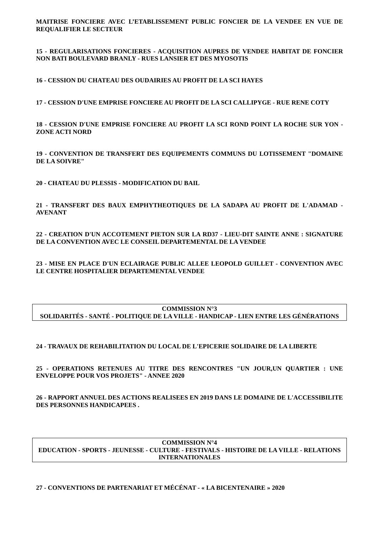**MAITRISE FONCIERE AVEC L'ETABLISSEMENT PUBLIC FONCIER DE LA VENDEE EN VUE DE REQUALIFIER LE SECTEUR**

#### **15 - REGULARISATIONS FONCIERES - ACQUISITION AUPRES DE VENDEE HABITAT DE FONCIER NON BATI BOULEVARD BRANLY - RUES LANSIER ET DES MYOSOTIS**

**16 - CESSION DU CHATEAU DES OUDAIRIES AU PROFIT DE LA SCI HAYES**

**17 - CESSION D'UNE EMPRISE FONCIERE AU PROFIT DE LA SCI CALLIPYGE - RUE RENE COTY**

**18 - CESSION D'UNE EMPRISE FONCIERE AU PROFIT LA SCI ROND POINT LA ROCHE SUR YON - ZONE ACTI NORD** 

**19 - CONVENTION DE TRANSFERT DES EQUIPEMENTS COMMUNS DU LOTISSEMENT "DOMAINE DE LA SOIVRE"**

**20 - CHATEAU DU PLESSIS - MODIFICATION DU BAIL**

**21 - TRANSFERT DES BAUX EMPHYTHEOTIQUES DE LA SADAPA AU PROFIT DE L'ADAMAD - AVENANT**

**22 - CREATION D'UN ACCOTEMENT PIETON SUR LA RD37 - LIEU-DIT SAINTE ANNE : SIGNATURE DE LA CONVENTION AVEC LE CONSEIL DEPARTEMENTAL DE LA VENDEE**

**23 - MISE EN PLACE D'UN ECLAIRAGE PUBLIC ALLEE LEOPOLD GUILLET - CONVENTION AVEC LE CENTRE HOSPITALIER DEPARTEMENTAL VENDEE** 

#### **COMMISSION N°3 SOLIDARITÉS - SANTÉ - POLITIQUE DE LA VILLE - HANDICAP - LIEN ENTRE LES GÉNÉRATIONS**

**24 - TRAVAUX DE REHABILITATION DU LOCAL DE L'EPICERIE SOLIDAIRE DE LA LIBERTE**

**25 - OPERATIONS RETENUES AU TITRE DES RENCONTRES "UN JOUR,UN QUARTIER : UNE ENVELOPPE POUR VOS PROJETS" - ANNEE 2020**

**26 - RAPPORT ANNUEL DES ACTIONS REALISEES EN 2019 DANS LE DOMAINE DE L'ACCESSIBILITE DES PERSONNES HANDICAPEES .**

**COMMISSION N°4 EDUCATION - SPORTS - JEUNESSE - CULTURE - FESTIVALS - HISTOIRE DE LA VILLE - RELATIONS INTERNATIONALES** 

# **27 - CONVENTIONS DE PARTENARIAT ET MÉCÉNAT - « LA BICENTENAIRE » 2020**